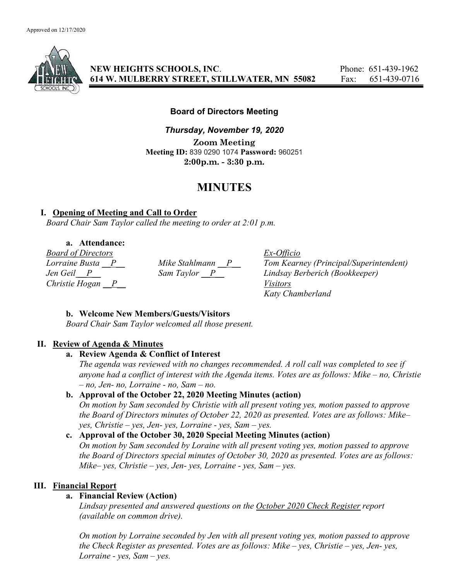

NEW HEIGHTS SCHOOLS, INC. Phone: 651-439-1962 614 W. MULBERRY STREET, STILLWATER, MN 55082 Fax: 651-439-0716

Board of Directors Meeting

Thursday, November 19, 2020 Zoom Meeting Meeting ID: 839 0290 1074 Password: 960251 2:00p.m. - 3:30 p.m.

# MINUTES

## I. Opening of Meeting and Call to Order

Board Chair Sam Taylor called the meeting to order at 2:01 p.m.

a. Attendance:

Board of Directors Ex-Officio Christie Hogan  $\overline{P}$  Visitors

Lorraine Busta  $\underline{P}$  Mike Stahlmann  $\underline{P}$  Tom Kearney (Principal/Superintendent)<br>Jen Geil  $\underline{P}$  Sam Taylor  $\underline{P}$  Lindsay Berberich (Bookkeeper) Jen Geil P Sam Taylor P Lindsay Berberich (Bookkeeper) Katy Chamberland

## b. Welcome New Members/Guests/Visitors

Board Chair Sam Taylor welcomed all those present.

## II. Review of Agenda & Minutes

## a. Review Agenda & Conflict of Interest

The agenda was reviewed with no changes recommended. A roll call was completed to see if anyone had a conflict of interest with the Agenda items. Votes are as follows: Mike – no, Christie  $- no$ , Jen- no, Lorraine - no, Sam  $- no$ .

## b. Approval of the October 22, 2020 Meeting Minutes (action)

On motion by Sam seconded by Christie with all present voting yes, motion passed to approve the Board of Directors minutes of October 22, 2020 as presented. Votes are as follows: Mike– yes, Christie – yes, Jen- yes, Lorraine - yes, Sam – yes.

# c. Approval of the October 30, 2020 Special Meeting Minutes (action)

On motion by Sam seconded by Loraine with all present voting yes, motion passed to approve the Board of Directors special minutes of October 30, 2020 as presented. Votes are as follows: Mike– yes, Christie – yes, Jen- yes, Lorraine - yes, Sam – yes.

## III. Financial Report

## a. Financial Review (Action)

Lindsay presented and answered questions on the October 2020 Check Register report (available on common drive).

On motion by Lorraine seconded by Jen with all present voting yes, motion passed to approve the Check Register as presented. Votes are as follows: Mike – yes, Christie – yes, Jen- yes, Lorraine - yes,  $Sam - yes$ .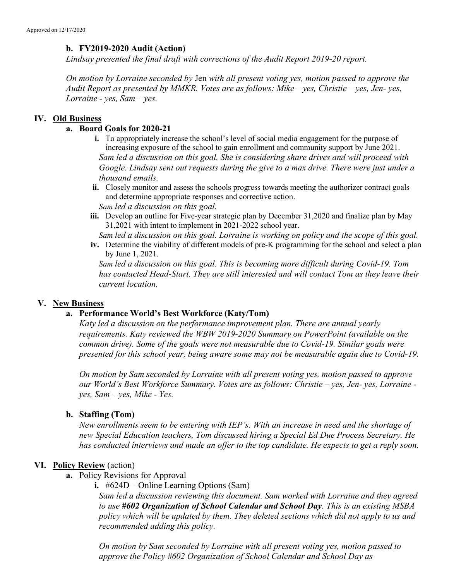## b. FY2019-2020 Audit (Action)

Lindsay presented the final draft with corrections of the **Audit Report 2019-20** report.

On motion by Lorraine seconded by Jen with all present voting yes, motion passed to approve the Audit Report as presented by MMKR. Votes are as follows: Mike – yes, Christie – yes, Jen- yes, Lorraine - yes, Sam – yes.

#### IV. Old Business

#### a. Board Goals for 2020-21

- i. To appropriately increase the school's level of social media engagement for the purpose of increasing exposure of the school to gain enrollment and community support by June 2021. Sam led a discussion on this goal. She is considering share drives and will proceed with Google. Lindsay sent out requests during the give to a max drive. There were just under a thousand emails.
- ii. Closely monitor and assess the schools progress towards meeting the authorizer contract goals and determine appropriate responses and corrective action.
	- Sam led a discussion on this goal.
- iii. Develop an outline for Five-year strategic plan by December 31,2020 and finalize plan by May 31,2021 with intent to implement in 2021-2022 school year.

Sam led a discussion on this goal. Lorraine is working on policy and the scope of this goal.

iv. Determine the viability of different models of pre-K programming for the school and select a plan by June 1, 2021.

Sam led a discussion on this goal. This is becoming more difficult during Covid-19. Tom has contacted Head-Start. They are still interested and will contact Tom as they leave their current location.

#### V. New Business

#### a. Performance World's Best Workforce (Katy/Tom)

Katy led a discussion on the performance improvement plan. There are annual yearly requirements. Katy reviewed the WBW 2019-2020 Summary on PowerPoint (available on the common drive). Some of the goals were not measurable due to Covid-19. Similar goals were presented for this school year, being aware some may not be measurable again due to Covid-19.

On motion by Sam seconded by Lorraine with all present voting yes, motion passed to approve our World's Best Workforce Summary. Votes are as follows: Christie – yes, Jen- yes, Lorraine  $yes, Sam - yes, Mike - Yes.$ 

#### b. Staffing (Tom)

New enrollments seem to be entering with IEP's. With an increase in need and the shortage of new Special Education teachers, Tom discussed hiring a Special Ed Due Process Secretary. He has conducted interviews and made an offer to the top candidate. He expects to get a reply soon.

#### VI. Policy Review (action)

- a. Policy Revisions for Approval
	- i. #624D Online Learning Options (Sam)

Sam led a discussion reviewing this document. Sam worked with Lorraine and they agreed to use #602 Organization of School Calendar and School Day. This is an existing MSBA policy which will be updated by them. They deleted sections which did not apply to us and recommended adding this policy.

On motion by Sam seconded by Lorraine with all present voting yes, motion passed to approve the Policy #602 Organization of School Calendar and School Day as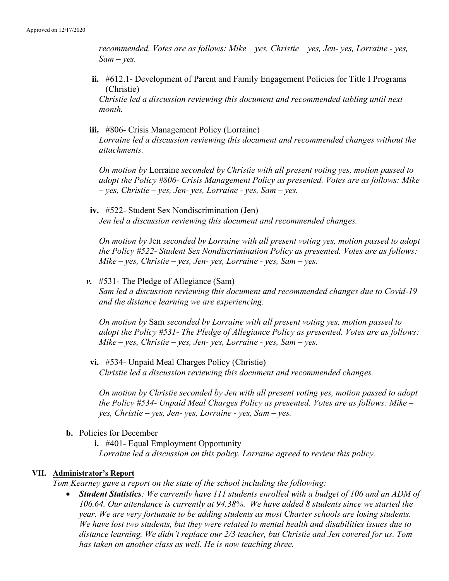recommended. Votes are as follows: Mike – yes, Christie – yes, Jen- yes, Lorraine - yes,  $Sam - yes$ .

ii. #612.1- Development of Parent and Family Engagement Policies for Title I Programs (Christie)

Christie led a discussion reviewing this document and recommended tabling until next month.

iii. #806- Crisis Management Policy (Lorraine) Lorraine led a discussion reviewing this document and recommended changes without the attachments.

On motion by Lorraine seconded by Christie with all present voting yes, motion passed to adopt the Policy #806- Crisis Management Policy as presented. Votes are as follows: Mike – yes, Christie – yes, Jen- yes, Lorraine - yes, Sam – yes.

iv. #522- Student Sex Nondiscrimination (Jen) Jen led a discussion reviewing this document and recommended changes.

On motion by Jen seconded by Lorraine with all present voting yes, motion passed to adopt the Policy #522- Student Sex Nondiscrimination Policy as presented. Votes are as follows: Mike – yes, Christie – yes, Jen- yes, Lorraine - yes, Sam – yes.

v. #531- The Pledge of Allegiance (Sam) Sam led a discussion reviewing this document and recommended changes due to Covid-19 and the distance learning we are experiencing.

On motion by Sam seconded by Lorraine with all present voting yes, motion passed to adopt the Policy #531- The Pledge of Allegiance Policy as presented. Votes are as follows: Mike – yes, Christie – yes, Jen- yes, Lorraine - yes, Sam – yes.

vi. #534- Unpaid Meal Charges Policy (Christie) Christie led a discussion reviewing this document and recommended changes.

On motion by Christie seconded by Jen with all present voting yes, motion passed to adopt the Policy #534- Unpaid Meal Charges Policy as presented. Votes are as follows: Mike – yes, Christie – yes, Jen- yes, Lorraine - yes, Sam – yes.

- b. Policies for December
	- i. #401- Equal Employment Opportunity Lorraine led a discussion on this policy. Lorraine agreed to review this policy.

#### VII. Administrator's Report

Tom Kearney gave a report on the state of the school including the following:

• Student Statistics: We currently have 111 students enrolled with a budget of 106 and an ADM of 106.64. Our attendance is currently at 94.38%. We have added 8 students since we started the year. We are very fortunate to be adding students as most Charter schools are losing students. We have lost two students, but they were related to mental health and disabilities issues due to distance learning. We didn't replace our 2/3 teacher, but Christie and Jen covered for us. Tom has taken on another class as well. He is now teaching three.